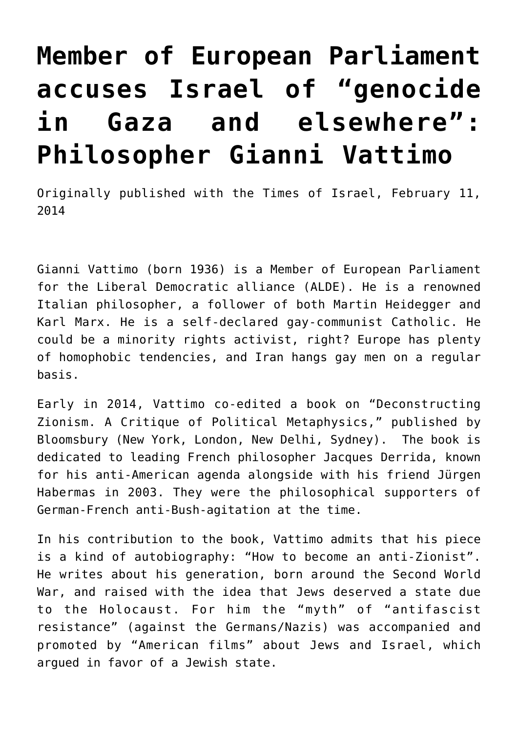## **[Member of European Parliament](https://www.clemensheni.net/member-of-european-parliament-accuses-israel-of-ongoing-genocide-in-gaza-philosopher-gianni-vattimo/) [accuses Israel of "genocide](https://www.clemensheni.net/member-of-european-parliament-accuses-israel-of-ongoing-genocide-in-gaza-philosopher-gianni-vattimo/) [in Gaza and elsewhere":](https://www.clemensheni.net/member-of-european-parliament-accuses-israel-of-ongoing-genocide-in-gaza-philosopher-gianni-vattimo/) [Philosopher Gianni Vattimo](https://www.clemensheni.net/member-of-european-parliament-accuses-israel-of-ongoing-genocide-in-gaza-philosopher-gianni-vattimo/)**

Originally published with the [Times of Israel,](https://blogs.timesofisrael.com/member-of-european-parliament-accuses-israel-of-genocide-in-gaza-and-elsewhere-philosopher-gianni-vattimo/) February 11, 2014

Gianni Vattimo (born 1936) is a Member of European Parliament for the Liberal Democratic alliance (ALDE). He is a renowned Italian philosopher, a follower of both Martin Heidegger and Karl Marx. He is a self-declared gay-communist Catholic. He could be a minority rights activist, right? Europe has plenty of homophobic tendencies, and Iran hangs gay men on a regular basis.

Early in 2014, Vattimo co-edited a book on "Deconstructing Zionism. A Critique of Political Metaphysics," published by Bloomsbury (New York, London, New Delhi, Sydney). The book is dedicated to leading French philosopher Jacques Derrida, known for his anti-American agenda alongside with his friend Jürgen Habermas in 2003. They were the philosophical supporters of German-French anti-Bush-agitation at the time.

In his contribution to the book, Vattimo admits that his piece is a kind of autobiography: "How to become an anti-Zionist". He writes about his generation, born around the Second World War, and raised with the idea that Jews deserved a state due to the Holocaust. For him the "myth" of "antifascist resistance" (against the Germans/Nazis) was accompanied and promoted by "American films" about Jews and Israel, which argued in favor of a Jewish state.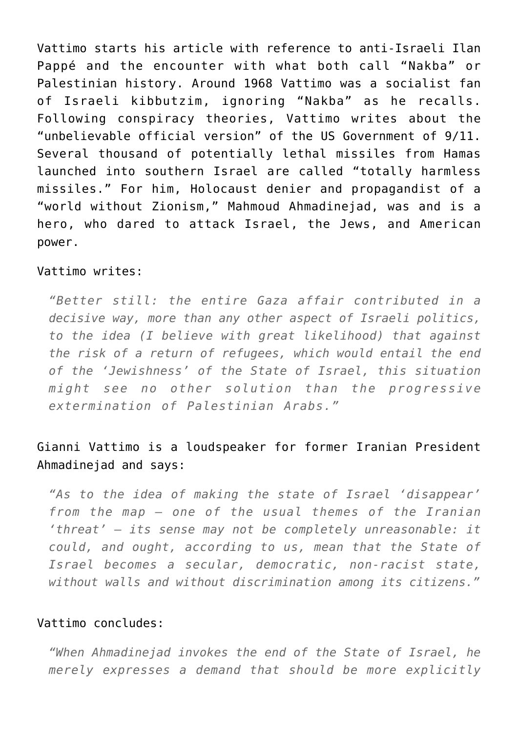Vattimo starts his article with reference to anti-Israeli Ilan Pappé and the encounter with what both call "Nakba" or Palestinian history. Around 1968 Vattimo was a socialist fan of Israeli kibbutzim, ignoring "Nakba" as he recalls. Following conspiracy theories, Vattimo writes about the "unbelievable official version" of the US Government of 9/11. Several thousand of potentially lethal missiles from Hamas launched into southern Israel are called "totally harmless missiles." For him, Holocaust denier and propagandist of a "world without Zionism," Mahmoud Ahmadinejad, was and is a hero, who dared to attack Israel, the Jews, and American power.

## Vattimo writes:

*"Better still: the entire Gaza affair contributed in a decisive way, more than any other aspect of Israeli politics, to the idea (I believe with great likelihood) that against the risk of a return of refugees, which would entail the end of the 'Jewishness' of the State of Israel, this situation might see no other solution than the progressive extermination of Palestinian Arabs."*

## Gianni Vattimo is a loudspeaker for former Iranian President Ahmadinejad and says:

*"As to the idea of making the state of Israel 'disappear' from the map – one of the usual themes of the Iranian 'threat' – its sense may not be completely unreasonable: it could, and ought, according to us, mean that the State of Israel becomes a secular, democratic, non-racist state, without walls and without discrimination among its citizens."*

## Vattimo concludes:

*"When Ahmadinejad invokes the end of the State of Israel, he merely expresses a demand that should be more explicitly*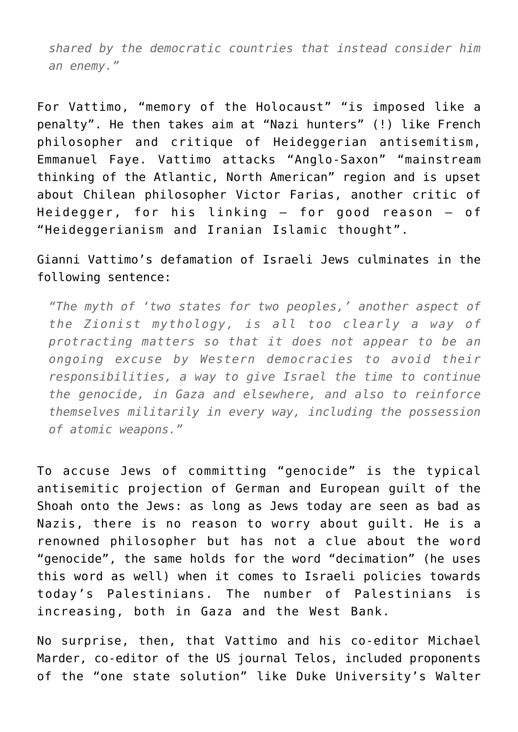*shared by the democratic countries that instead consider him an enemy."*

For Vattimo, "memory of the Holocaust" "is imposed like a penalty". He then takes aim at "Nazi hunters" (!) like French philosopher and critique of Heideggerian antisemitism, Emmanuel Faye. Vattimo attacks "Anglo-Saxon" "mainstream thinking of the Atlantic, North American" region and is upset about Chilean philosopher Victor Farias, another critic of Heidegger, for his linking – for good reason – of "Heideggerianism and Iranian Islamic thought".

Gianni Vattimo's defamation of Israeli Jews culminates in the following sentence:

*"The myth of 'two states for two peoples,' another aspect of the Zionist mythology, is all too clearly a way of protracting matters so that it does not appear to be an ongoing excuse by Western democracies to avoid their responsibilities, a way to give Israel the time to continue the genocide, in Gaza and elsewhere, and also to reinforce themselves militarily in every way, including the possession of atomic weapons."*

To accuse Jews of committing "genocide" is the typical antisemitic projection of German and European guilt of the Shoah onto the Jews: as long as Jews today are seen as bad as Nazis, there is no reason to worry about guilt. He is a renowned philosopher but has not a clue about the word "genocide", the same holds for the word "decimation" (he uses this word as well) when it comes to Israeli policies towards today's Palestinians. The number of Palestinians is increasing, both in Gaza and the West Bank.

No surprise, then, that Vattimo and his co-editor Michael Marder, co-editor of the US journal Telos, included proponents of the "one state solution" like Duke University's Walter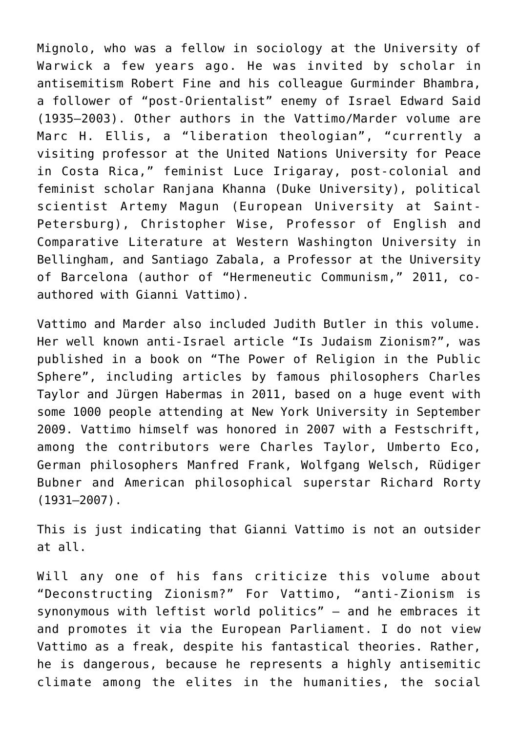Mignolo, who was a fellow in sociology at the University of Warwick a few years ago. He was invited by scholar in antisemitism Robert Fine and his colleague Gurminder Bhambra, a follower of "post-Orientalist" enemy of Israel Edward Said (1935–2003). Other authors in the Vattimo/Marder volume are Marc H. Ellis, a "liberation theologian", "currently a visiting professor at the United Nations University for Peace in Costa Rica," feminist Luce Irigaray, post-colonial and feminist scholar Ranjana Khanna (Duke University), political scientist Artemy Magun (European University at Saint-Petersburg), Christopher Wise, Professor of English and Comparative Literature at Western Washington University in Bellingham, and Santiago Zabala, a Professor at the University of Barcelona (author of "Hermeneutic Communism," 2011, coauthored with Gianni Vattimo).

Vattimo and Marder also included Judith Butler in this volume. Her well known anti-Israel article "Is Judaism Zionism?", was published in a book on "The Power of Religion in the Public Sphere", including articles by famous philosophers Charles Taylor and Jürgen Habermas in 2011, based on a huge event with some 1000 people attending at New York University in September 2009. Vattimo himself was honored in 2007 with a Festschrift, among the contributors were Charles Taylor, Umberto Eco, German philosophers Manfred Frank, Wolfgang Welsch, Rüdiger Bubner and American philosophical superstar Richard Rorty (1931–2007).

This is just indicating that Gianni Vattimo is not an outsider at all.

Will any one of his fans criticize this volume about "Deconstructing Zionism?" For Vattimo, "anti-Zionism is synonymous with leftist world politics" – and he embraces it and promotes it via the European Parliament. I do not view Vattimo as a freak, despite his fantastical theories. Rather, he is dangerous, because he represents a highly antisemitic climate among the elites in the humanities, the social